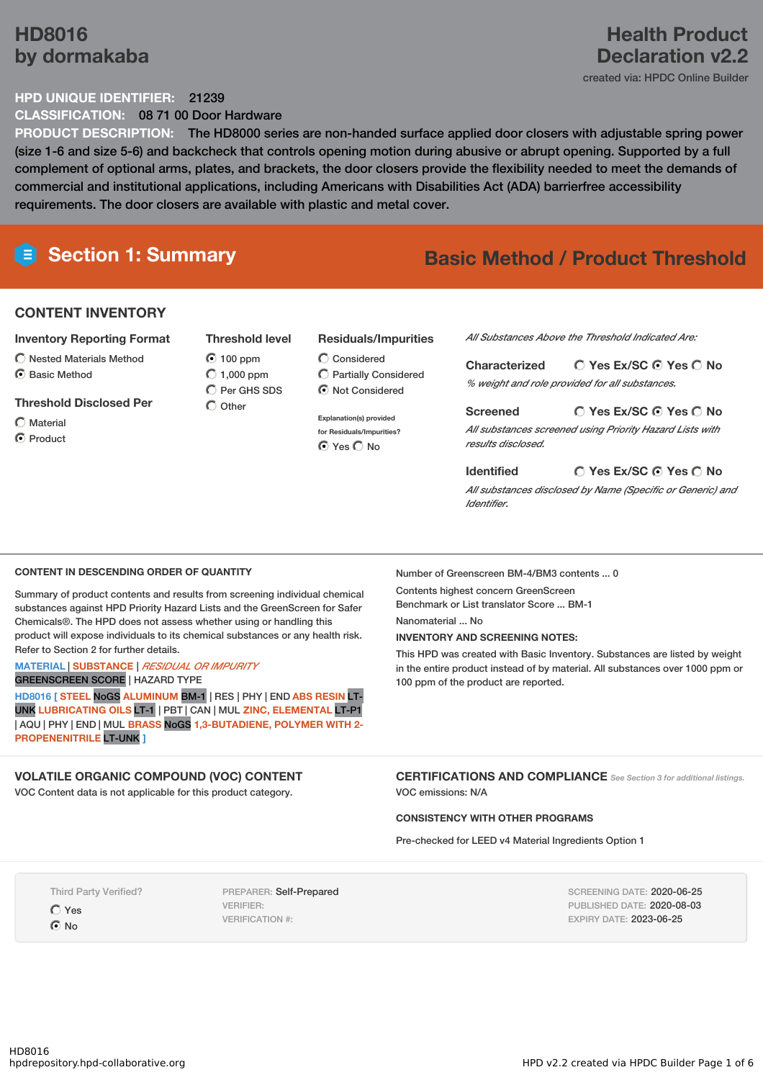## **HD8016 by dormakaba**

## **Health Product Declaration v2.2**

created via: HPDC Online Builder

#### **HPD UNIQUE IDENTIFIER:** 21239

**CLASSIFICATION:** 08 71 00 Door Hardware

**PRODUCT DESCRIPTION:** The HD8000 series are non-handed surface applied door closers with adjustable spring power (size 1-6 and size 5-6) and backcheck that controls opening motion during abusive or abrupt opening. Supported by a full complement of optional arms, plates, and brackets, the door closers provide the flexibility needed to meet the demands of commercial and institutional applications, including Americans with Disabilities Act (ADA) barrierfree accessibility requirements. The door closers are available with plastic and metal cover.

## **Section 1: Summary Basic Method / Product Threshold**

#### **CONTENT INVENTORY**

#### **Inventory Reporting Format**

- $\bigcirc$  Nested Materials Method
- C Basic Method

#### **Threshold Disclosed Per**

Material C Product **Threshold level** 100 ppm  $O$  1,000 ppm  $\bigcap$  Per GHS SDS  $\bigcap$  Other

#### **Residuals/Impurities**

Considered Partially Considered  $\odot$  Not Considered

**Explanation(s) provided for Residuals/Impurities?** ⊙ Yes O No

*All Substances Above the Threshold Indicated Are:*

**Yes Ex/SC Yes No Characterized** *% weight and role provided for all substances.*

#### **Yes Ex/SC Yes No**

*All substances screened using Priority Hazard Lists with results disclosed.*

#### **Yes Ex/SC Yes No Identified**

*All substances disclosed by Name (Specific or Generic) and Identifier.*

#### **CONTENT IN DESCENDING ORDER OF QUANTITY**

Summary of product contents and results from screening individual chemical substances against HPD Priority Hazard Lists and the GreenScreen for Safer Chemicals®. The HPD does not assess whether using or handling this product will expose individuals to its chemical substances or any health risk. Refer to Section 2 for further details.

#### **MATERIAL** | **SUBSTANCE** | *RESIDUAL OR IMPURITY*

GREENSCREEN SCORE | HAZARD TYPE

**HD8016 [ STEEL** NoGS **ALUMINUM** BM-1 | RES | PHY | END **ABS RESIN** LT-UNK **LUBRICATING OILS** LT-1 | PBT | CAN | MUL **ZINC, ELEMENTAL** LT-P1 | AQU | PHY | END | MUL **BRASS** NoGS **1,3-BUTADIENE, POLYMER WITH 2- PROPENENITRILE** LT-UNK **]**

#### **VOLATILE ORGANIC COMPOUND (VOC) CONTENT**

VOC Content data is not applicable for this product category.

Number of Greenscreen BM-4/BM3 contents ... 0

Contents highest concern GreenScreen Benchmark or List translator Score ... BM-1 Nanomaterial No.

**Screened**

#### **INVENTORY AND SCREENING NOTES:**

This HPD was created with Basic Inventory. Substances are listed by weight in the entire product instead of by material. All substances over 1000 ppm or 100 ppm of the product are reported.

**CERTIFICATIONS AND COMPLIANCE** *See Section <sup>3</sup> for additional listings.* VOC emissions: N/A

#### **CONSISTENCY WITH OTHER PROGRAMS**

Pre-checked for LEED v4 Material Ingredients Option 1

Third Party Verified? Yes

 $\odot$  No

PREPARER: Self-Prepared VERIFIER: VERIFICATION #:

SCREENING DATE: 2020-06-25 PUBLISHED DATE: 2020-08-03 EXPIRY DATE: 2023-06-25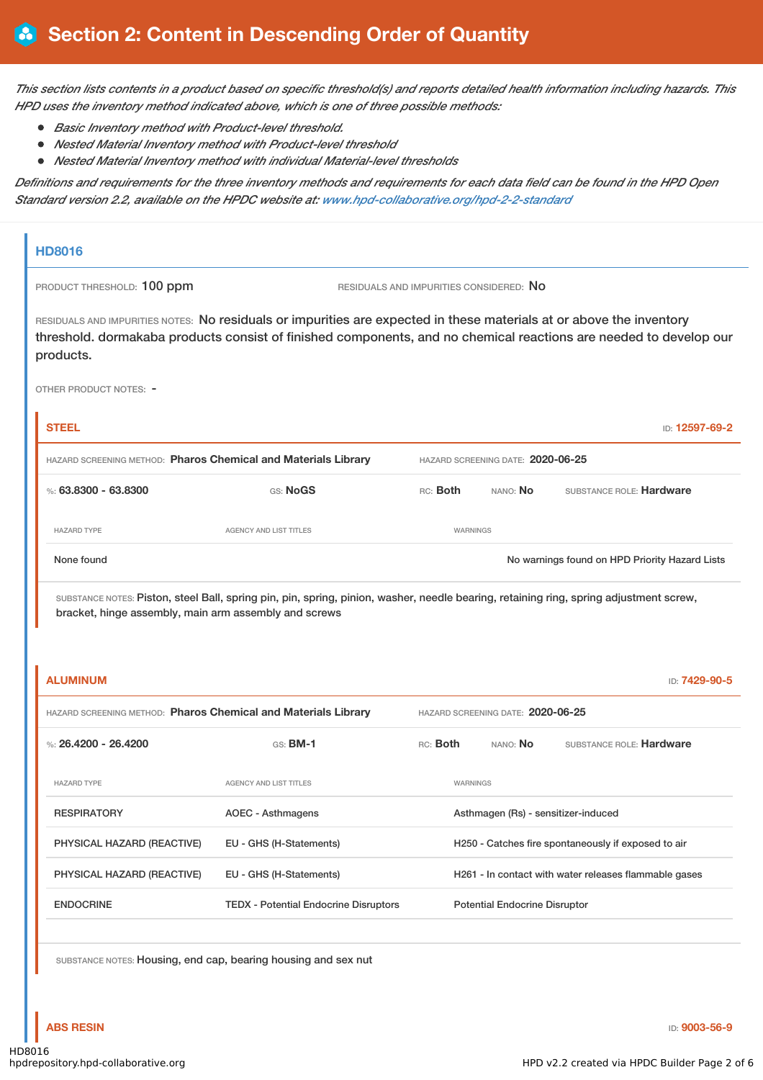This section lists contents in a product based on specific threshold(s) and reports detailed health information including hazards. This *HPD uses the inventory method indicated above, which is one of three possible methods:*

- *Basic Inventory method with Product-level threshold.*
- *Nested Material Inventory method with Product-level threshold*
- *Nested Material Inventory method with individual Material-level thresholds*

Definitions and requirements for the three inventory methods and requirements for each data field can be found in the HPD Open *Standard version 2.2, available on the HPDC website at: [www.hpd-collaborative.org/hpd-2-2-standard](https://www.hpd-collaborative.org/hpd-2-2-standard)*

# **HD8016** PRODUCT THRESHOLD: 100 ppm RESIDUALS AND IMPURITIES CONSIDERED: No RESIDUALS AND IMPURITIES NOTES: No residuals or impurities are expected in these materials at or above the inventory threshold. dormakaba products consist of finished components, and no chemical reactions are needed to develop our products. OTHER PRODUCT NOTES: - **STEEL** ID: **12597-69-2** HAZARD SCREENING METHOD: **Pharos Chemical and Materials Library** HAZARD SCREENING DATE: **2020-06-25** %: **63.8300 - 63.8300** GS: **NoGS** RC: **Both** NANO: **No** SUBSTANCE ROLE: **Hardware** HAZARD TYPE **AGENCY AND LIST TITLES** WARNINGS None found Nowarnings found on HPD Priority Hazard Lists SUBSTANCE NOTES: Piston, steel Ball, spring pin, pin, spring, pinion, washer, needle bearing, retaining ring, spring adjustment screw, bracket, hinge assembly, main arm assembly and screws **ALUMINUM** ID: **7429-90-5** HAZARD SCREENING METHOD: **Pharos Chemical and Materials Library** HAZARD SCREENING DATE: **2020-06-25** %: **26.4200 - 26.4200** GS: **BM-1** RC: **Both** NANO: **No** SUBSTANCE ROLE: **Hardware** HAZARD TYPE AGENCY AND LIST TITLES WARNINGS RESPIRATORY **AOEC** - Asthmagens Asthmagen (Rs) - sensitizer-induced PHYSICAL HAZARD (REACTIVE) EU - GHS (H-Statements) H250 - Catches fire spontaneously if exposed to air PHYSICAL HAZARD (REACTIVE) EU - GHS (H-Statements) H261 - In contact with water releases flammable gases ENDOCRINE TEDX - Potential Endocrine Disruptors Potential Endocrine Disruptor

SUBSTANCE NOTES: Housing, end cap, bearing housing and sex nut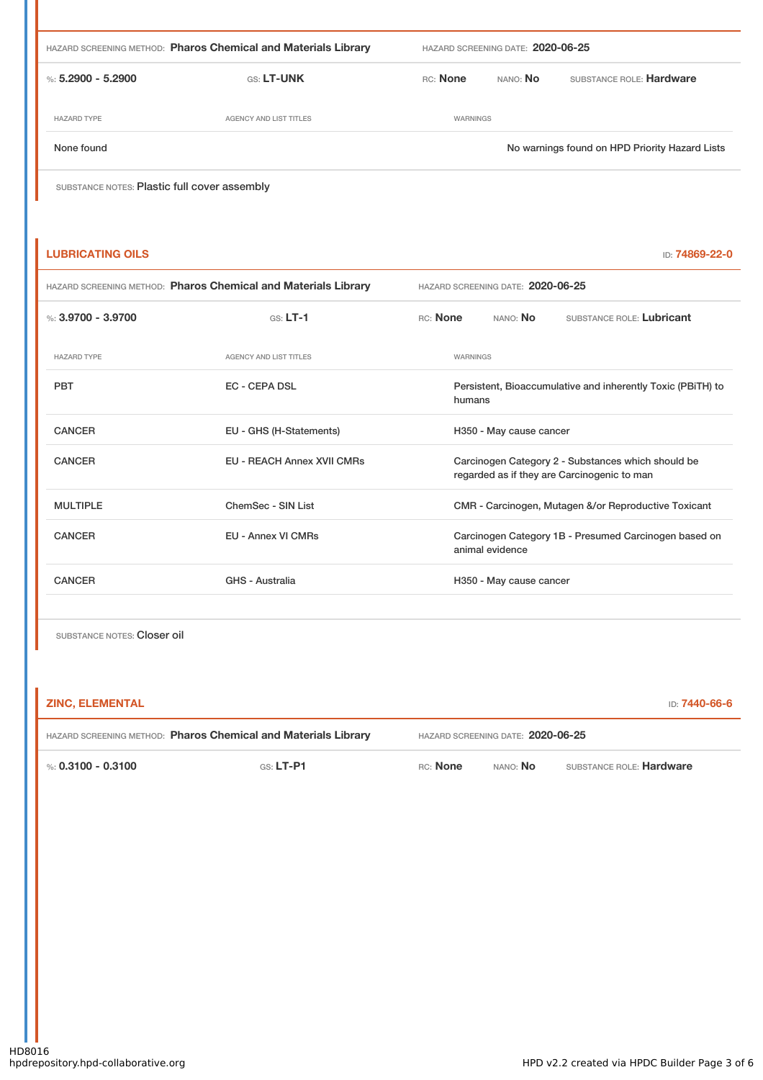| HAZARD SCREENING METHOD: Pharos Chemical and Materials Library |                        | HAZARD SCREENING DATE: 2020-06-25 |                 |                                                |
|----------------------------------------------------------------|------------------------|-----------------------------------|-----------------|------------------------------------------------|
| %: $5.2900 - 5.2900$                                           | <b>GS: LT-UNK</b>      | <b>RC:</b> None                   | NANO: <b>No</b> | SUBSTANCE ROLE: Hardware                       |
| <b>HAZARD TYPE</b>                                             | AGENCY AND LIST TITLES | <b>WARNINGS</b>                   |                 |                                                |
| None found                                                     |                        |                                   |                 | No warnings found on HPD Priority Hazard Lists |
| SUBSTANCE NOTES: Plastic full cover assembly                   |                        |                                   |                 |                                                |

| <b>LUBRICATING OILS</b>                                        |                                   |                                                                                                   | ID: 74869-22-0 |  |
|----------------------------------------------------------------|-----------------------------------|---------------------------------------------------------------------------------------------------|----------------|--|
| HAZARD SCREENING METHOD: Pharos Chemical and Materials Library |                                   | HAZARD SCREENING DATE: 2020-06-25                                                                 |                |  |
| %: $3.9700 - 3.9700$                                           | $GS: LT-1$                        | RC: None<br>NANO: <b>No</b><br>SUBSTANCE ROLE: Lubricant                                          |                |  |
| <b>HAZARD TYPE</b>                                             | <b>AGENCY AND LIST TITLES</b>     | <b>WARNINGS</b>                                                                                   |                |  |
| <b>PBT</b>                                                     | <b>EC - CEPA DSL</b>              | Persistent, Bioaccumulative and inherently Toxic (PBiTH) to<br>humans                             |                |  |
| <b>CANCER</b>                                                  | EU - GHS (H-Statements)           | H350 - May cause cancer                                                                           |                |  |
| <b>CANCER</b>                                                  | <b>EU - REACH Annex XVII CMRs</b> | Carcinogen Category 2 - Substances which should be<br>regarded as if they are Carcinogenic to man |                |  |
| <b>MULTIPLE</b>                                                | ChemSec - SIN List                | CMR - Carcinogen, Mutagen &/or Reproductive Toxicant                                              |                |  |
| <b>CANCER</b>                                                  | <b>EU - Annex VI CMRs</b>         | Carcinogen Category 1B - Presumed Carcinogen based on<br>animal evidence                          |                |  |
| <b>CANCER</b>                                                  | GHS - Australia                   | H350 - May cause cancer                                                                           |                |  |
|                                                                |                                   |                                                                                                   |                |  |

SUBSTANCE NOTES: Closer oil

| ZINC. ELEMENTAL                                                | D: <b>7440-66-6</b> |                                   |                 |                          |
|----------------------------------------------------------------|---------------------|-----------------------------------|-----------------|--------------------------|
| HAZARD SCREENING METHOD: Pharos Chemical and Materials Library |                     | HAZARD SCREENING DATE: 2020-06-25 |                 |                          |
| %∶ 0.3100 - 0.3100                                             | GS: $LT-$ P1        | RC: None                          | nano: <b>No</b> | SUBSTANCE ROLE: Hardware |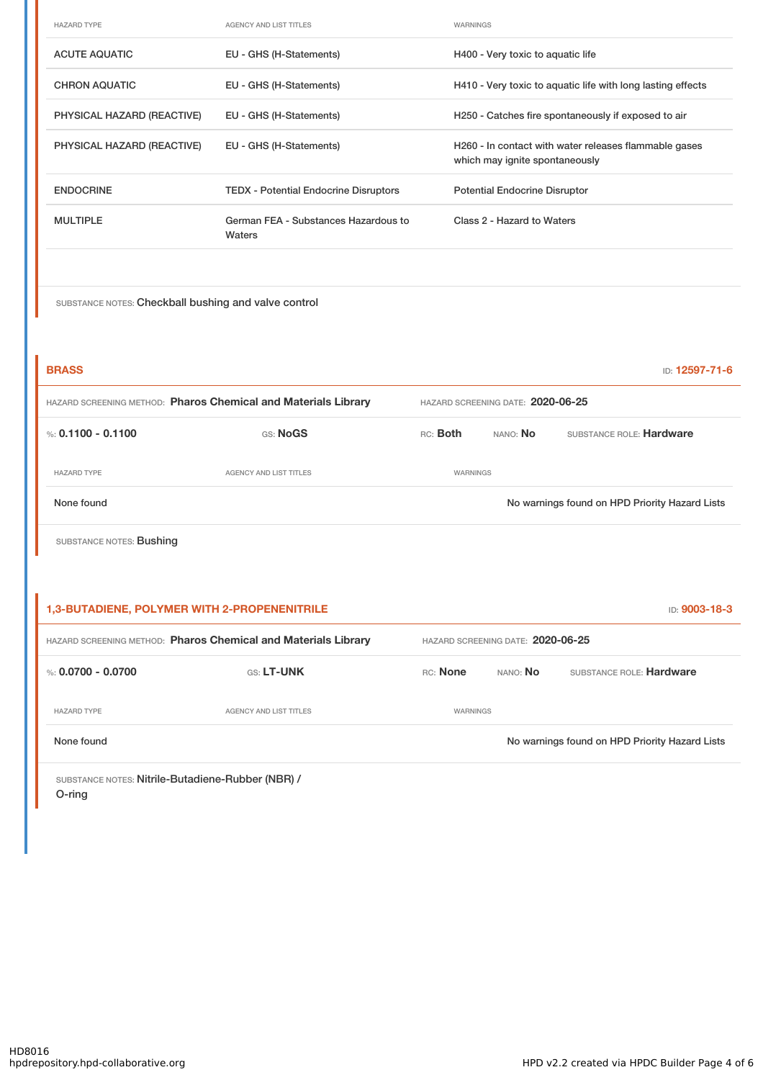| <b>HAZARD TYPE</b>         | <b>AGENCY AND LIST TITLES</b>                  | <b>WARNINGS</b>                                                                         |
|----------------------------|------------------------------------------------|-----------------------------------------------------------------------------------------|
| <b>ACUTE AQUATIC</b>       | EU - GHS (H-Statements)                        | H400 - Very toxic to aquatic life                                                       |
| <b>CHRON AQUATIC</b>       | EU - GHS (H-Statements)                        | H410 - Very toxic to aquatic life with long lasting effects                             |
| PHYSICAL HAZARD (REACTIVE) | EU - GHS (H-Statements)                        | H250 - Catches fire spontaneously if exposed to air                                     |
| PHYSICAL HAZARD (REACTIVE) | EU - GHS (H-Statements)                        | H260 - In contact with water releases flammable gases<br>which may ignite spontaneously |
| <b>ENDOCRINE</b>           | <b>TEDX</b> - Potential Endocrine Disruptors   | <b>Potential Endocrine Disruptor</b>                                                    |
| <b>MULTIPLE</b>            | German FEA - Substances Hazardous to<br>Waters | Class 2 - Hazard to Waters                                                              |
|                            |                                                |                                                                                         |

SUBSTANCE NOTES: Checkball bushing and valve control

| <b>BRASS</b>                                                   |                        |                                   |          | <b>ID: 12597-71-6</b>                          |
|----------------------------------------------------------------|------------------------|-----------------------------------|----------|------------------------------------------------|
| HAZARD SCREENING METHOD: Pharos Chemical and Materials Library |                        | HAZARD SCREENING DATE: 2020-06-25 |          |                                                |
| %: $0.1100 - 0.1100$                                           | GS: NoGS               | RC: Both                          | NANO: No | SUBSTANCE ROLE: Hardware                       |
| <b>HAZARD TYPE</b>                                             | AGENCY AND LIST TITLES | WARNINGS                          |          |                                                |
| None found                                                     |                        |                                   |          | No warnings found on HPD Priority Hazard Lists |
| SUBSTANCE NOTES: Bushing                                       |                        |                                   |          |                                                |

|                      | <b>1,3-BUTADIENE, POLYMER WITH 2-PROPENENITRILE</b>            |          |                                   | <b>ID: 9003-18-3</b>                           |
|----------------------|----------------------------------------------------------------|----------|-----------------------------------|------------------------------------------------|
|                      | HAZARD SCREENING METHOD: Pharos Chemical and Materials Library |          | HAZARD SCREENING DATE: 2020-06-25 |                                                |
| %: $0.0700 - 0.0700$ | <b>GS: LT-UNK</b>                                              | RC: None | NANO: <b>No</b>                   | SUBSTANCE ROLE: Hardware                       |
| <b>HAZARD TYPE</b>   | AGENCY AND LIST TITLES                                         | WARNINGS |                                   |                                                |
| None found           |                                                                |          |                                   | No warnings found on HPD Priority Hazard Lists |

SUBSTANCE NOTES: Nitrile-Butadiene-Rubber (NBR) / O-ring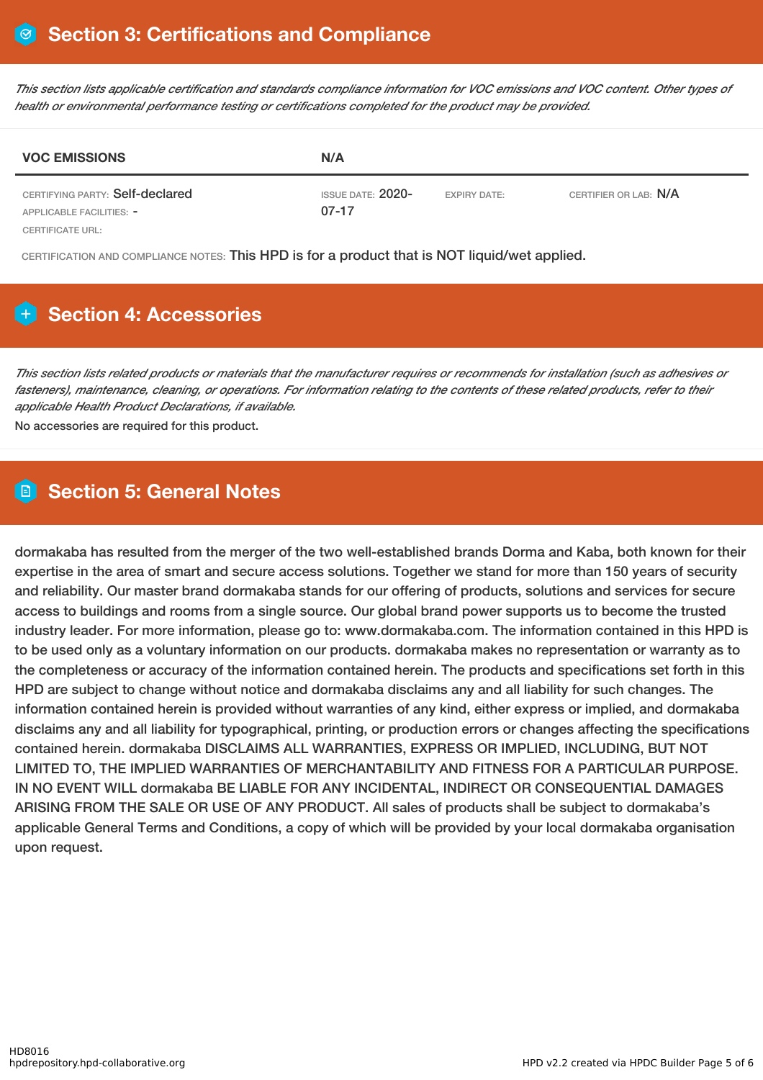This section lists applicable certification and standards compliance information for VOC emissions and VOC content. Other types of *health or environmental performance testing or certifications completed for the product may be provided.*

| <b>VOC EMISSIONS</b>                                        | N/A                                 |                     |                       |
|-------------------------------------------------------------|-------------------------------------|---------------------|-----------------------|
| CERTIFYING PARTY: Self-declared<br>APPLICABLE FACILITIES: - | <b>ISSUE DATE: 2020-</b><br>$07-17$ | <b>EXPIRY DATE:</b> | CERTIFIER OR LAB: N/A |
| CERTIFICATE URL:                                            |                                     |                     |                       |

CERTIFICATION AND COMPLIANCE NOTES: This HPD is for a product that is NOT liquid/wet applied.

## **Section 4: Accessories**

This section lists related products or materials that the manufacturer requires or recommends for installation (such as adhesives or fasteners), maintenance, cleaning, or operations. For information relating to the contents of these related products, refer to their *applicable Health Product Declarations, if available.*

No accessories are required for this product.

## **Section 5: General Notes**

dormakaba has resulted from the merger of the two well-established brands Dorma and Kaba, both known for their expertise in the area of smart and secure access solutions. Together we stand for more than 150 years of security and reliability. Our master brand dormakaba stands for our offering of products, solutions and services for secure access to buildings and rooms from a single source. Our global brand power supports us to become the trusted industry leader. For more information, please go to: www.dormakaba.com. The information contained in this HPD is to be used only as a voluntary information on our products. dormakaba makes no representation or warranty as to the completeness or accuracy of the information contained herein. The products and specifications set forth in this HPD are subject to change without notice and dormakaba disclaims any and all liability for such changes. The information contained herein is provided without warranties of any kind, either express or implied, and dormakaba disclaims any and all liability for typographical, printing, or production errors or changes affecting the specifications contained herein. dormakaba DISCLAIMS ALL WARRANTIES, EXPRESS OR IMPLIED, INCLUDING, BUT NOT LIMITED TO, THE IMPLIED WARRANTIES OF MERCHANTABILITY AND FITNESS FOR A PARTICULAR PURPOSE. IN NO EVENT WILL dormakaba BE LIABLE FOR ANY INCIDENTAL, INDIRECT OR CONSEQUENTIAL DAMAGES ARISING FROM THE SALE OR USE OF ANY PRODUCT. All sales of products shall be subject to dormakaba's applicable General Terms and Conditions, a copy of which will be provided by your local dormakaba organisation upon request.